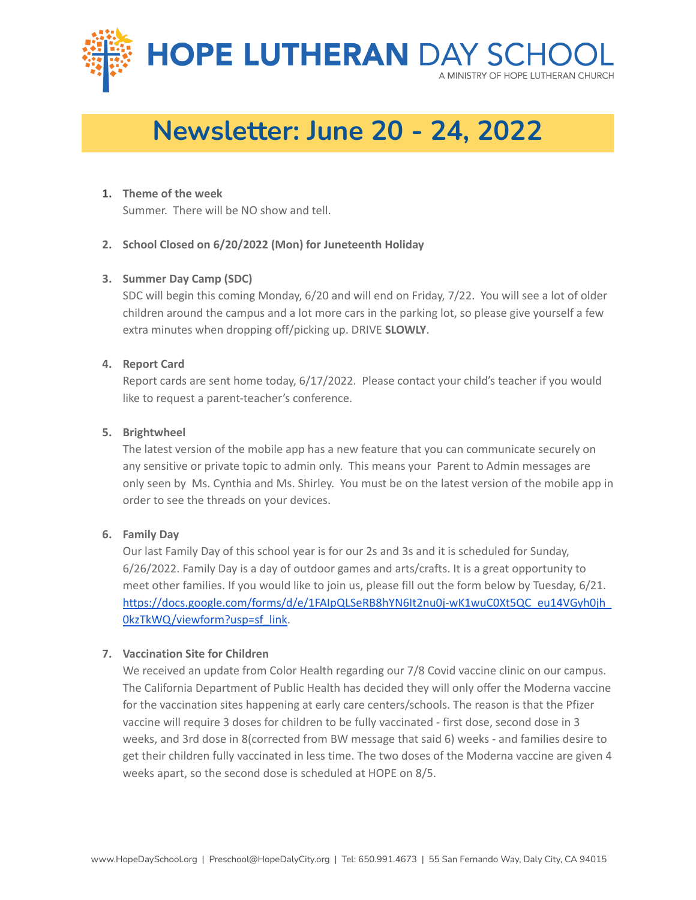

# **Newsletter: June 20 - 24, 2022**

## **1. Theme of the week**

Summer. There will be NO show and tell.

## **2. School Closed on 6/20/2022 (Mon) for Juneteenth Holiday**

## **3. Summer Day Camp (SDC)**

SDC will begin this coming Monday, 6/20 and will end on Friday, 7/22. You will see a lot of older children around the campus and a lot more cars in the parking lot, so please give yourself a few extra minutes when dropping off/picking up. DRIVE **SLOWLY**.

### **4. Report Card**

Report cards are sent home today, 6/17/2022. Please contact your child's teacher if you would like to request a parent-teacher's conference.

### **5. Brightwheel**

The latest version of the mobile app has a new feature that you can communicate securely on any sensitive or private topic to admin only. This means your Parent to Admin messages are only seen by Ms. Cynthia and Ms. Shirley. You must be on the latest version of the mobile app in order to see the threads on your devices.

### **6. Family Day**

Our last Family Day of this school year is for our 2s and 3s and it is scheduled for Sunday, 6/26/2022. Family Day is a day of outdoor games and arts/crafts. It is a great opportunity to meet other families. If you would like to join us, please fill out the form below by Tuesday, 6/21[.](https://docs.google.com/forms/d/e/1FAIpQLSeRB8hYN6It2nu0j-wK1wuC0Xt5QC_eu14VGyh0jh_0kzTkWQ/viewform?usp=sf_link) [https://docs.google.com/forms/d/e/1FAIpQLSeRB8hYN6It2nu0j-wK1wuC0Xt5QC\\_eu14VGyh0jh\\_](https://docs.google.com/forms/d/e/1FAIpQLSeRB8hYN6It2nu0j-wK1wuC0Xt5QC_eu14VGyh0jh_0kzTkWQ/viewform?usp=sf_link) [0kzTkWQ/viewform?usp=sf\\_link.](https://docs.google.com/forms/d/e/1FAIpQLSeRB8hYN6It2nu0j-wK1wuC0Xt5QC_eu14VGyh0jh_0kzTkWQ/viewform?usp=sf_link)

### **7. Vaccination Site for Children**

We received an update from Color Health regarding our 7/8 Covid vaccine clinic on our campus. The California Department of Public Health has decided they will only offer the Moderna vaccine for the vaccination sites happening at early care centers/schools. The reason is that the Pfizer vaccine will require 3 doses for children to be fully vaccinated - first dose, second dose in 3 weeks, and 3rd dose in 8(corrected from BW message that said 6) weeks - and families desire to get their children fully vaccinated in less time. The two doses of the Moderna vaccine are given 4 weeks apart, so the second dose is scheduled at HOPE on 8/5.